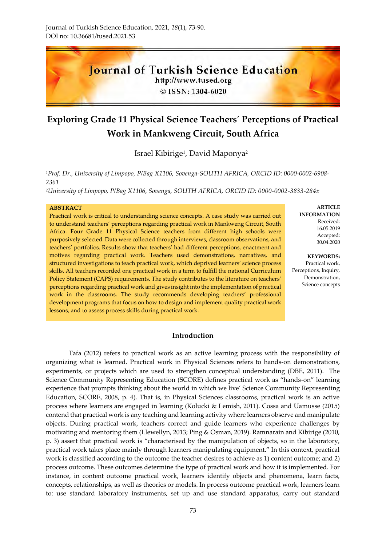

# **Exploring Grade 11 Physical Science Teachers**' **Perceptions of Practical Work in Mankweng Circuit, South Africa**

Israel Kibirige<sup>1</sup>, David Maponya<sup>2</sup>

*<sup>1</sup>Prof. Dr., University of Limpopo, P/Bag X1106, Sovenga-SOUTH AFRICA, ORCID ID: 0000-0002-6908- 2361*

*<sup>2</sup>University of Limpopo, P/Bag X1106, Sovenga, SOUTH AFRICA, ORCID ID: 0000-0002-3833-284x*

#### **ABSTRACT**

Practical work is critical to understanding science concepts. A case study was carried out to understand teachers' perceptions regarding practical work in Mankweng Circuit, South Africa. Four Grade 11 Physical Science teachers from different high schools were purposively selected. Data were collected through interviews, classroom observations, and teachers' portfolios. Results show that teachers' had different perceptions, enactment and motives regarding practical work. Teachers used demonstrations, narratives, and structured investigations to teach practical work, which deprived learners' science process skills. All teachers recorded one practical work in a term to fulfill the national Curriculum Policy Statement (CAPS) requirements. The study contributes to the literature on teachers' perceptions regarding practical work and gives insight into the implementation of practical work in the classrooms. The study recommends developing teachers' professional development programs that focus on how to design and implement quality practical work lessons, and to assess process skills during practical work.

**ARTICLE INFORMATION** Received: 16.05.2019 Accepted: 30.04.2020

**KEYWORDS:** Practical work, Perceptions, Inquiry, Demonstration, Science concepts

## **Introduction**

Tafa (2012) refers to practical work as an active learning process with the responsibility of organizing what is learned. Practical work in Physical Sciences refers to hands-on demonstrations, experiments, or projects which are used to strengthen conceptual understanding (DBE, 2011). The Science Community Representing Education (SCORE) defines practical work as "hands-on" learning experience that prompts thinking about the world in which we live' Science Community Representing Education, SCORE, 2008, p. 4). That is, in Physical Sciences classrooms, practical work is an active process where learners are engaged in learning (Kolucki & Lemish, 2011). Cossa and Uamusse (2015) contend that practical work is any teaching and learning activity where learners observe and manipulate objects. During practical work, teachers correct and guide learners who experience challenges by motivating and mentoring them (Llewellyn, 2013; Ping & Osman, 2019). Ramnarain and Kibirige (2010, p. 3) assert that practical work is "characterised by the manipulation of objects, so in the laboratory, practical work takes place mainly through learners manipulating equipment." In this context, practical work is classified according to the outcome the teacher desires to achieve as 1) content outcome; and 2) process outcome. These outcomes determine the type of practical work and how it is implemented. For instance, in content outcome practical work, learners identify objects and phenomena, learn facts, concepts, relationships, as well as theories or models. In process outcome practical work, learners learn to: use standard laboratory instruments, set up and use standard apparatus, carry out standard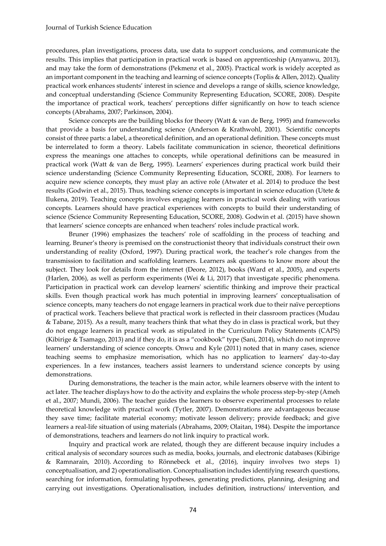procedures, plan investigations, process data, use data to support conclusions, and communicate the results. This implies that participation in practical work is based on apprenticeship (Anyanwu, 2013), and may take the form of demonstrations (Pekmenz et al., 2005). Practical work is widely accepted as an important component in the teaching and learning of science concepts (Toplis & Allen, 2012). Quality practical work enhances students' interest in science and develops a range of skills, science knowledge, and conceptual understanding (Science Community Representing Education, SCORE, 2008). Despite the importance of practical work, teachers' perceptions differ significantly on how to teach science concepts (Abrahams, 2007; Parkinson, 2004).

Science concepts are the building blocks for theory (Watt & van de Berg, 1995) and frameworks that provide a basis for understanding science (Anderson & Krathwohl, 2001). Scientific concepts consist of three parts: a label, a theoretical definition, and an operational definition. These concepts must be interrelated to form a theory. Labels facilitate communication in science, theoretical definitions express the meanings one attaches to concepts, while operational definitions can be measured in practical work (Watt & van de Berg, 1995). Learners' experiences during practical work build their science understanding (Science Community Representing Education, SCORE, 2008). For learners to acquire new science concepts, they must play an active role (Atwater et al. 2014) to produce the best results (Godwin et al., 2015). Thus, teaching science concepts is important in science education (Utete & Ilukena, 2019). Teaching concepts involves engaging learners in practical work dealing with various concepts. Learners should have practical experiences with concepts to build their understanding of science (Science Community Representing Education, SCORE, 2008). Godwin et al. (2015) have shown that learners' science concepts are enhanced when teachers' roles include practical work.

Bruner (1996) emphasizes the teachers' role of scaffolding in the process of teaching and learning. Bruner's theory is premised on the constructionist theory that individuals construct their own understanding of reality (Oxford, 1997). During practical work, the teacher's role changes from the transmission to facilitation and scaffolding learners. Learners ask questions to know more about the subject. They look for details from the internet (Deore, 2012), books (Ward et al., 2005), and experts (Harlen, 2006), as well as perform experiments (Wei & Li, 2017) that investigate specific phenomena. Participation in practical work can develop learners' scientific thinking and improve their practical skills. Even though practical work has much potential in improving learners' conceptualisation of science concepts, many teachers do not engage learners in practical work due to their naïve perceptions of practical work. Teachers believe that practical work is reflected in their classroom practices (Mudau & Tabane, 2015). As a result, many teachers think that what they do in class is practical work, but they do not engage learners in practical work as stipulated in the Curriculum Policy Statements (CAPS) (Kibirige & Tsamago, 2013) and if they do, it is as a "cookbook" type (Sani, 2014), which do not improve learners' understanding of science concepts. Onwu and Kyle (2011) noted that in many cases, science teaching seems to emphasize memorisation, which has no application to learners' day-to-day experiences. In a few instances, teachers assist learners to understand science concepts by using demonstrations.

During demonstrations, the teacher is the main actor, while learners observe with the intent to act later. The teacher displays how to do the activity and explains the whole process step-by-step (Ameh et al., 2007; Mundi, 2006). The teacher guides the learners to observe experimental processes to relate theoretical knowledge with practical work (Tytler, 2007). Demonstrations are advantageous because they save time; facilitate material economy; motivate lesson delivery; provide feedback; and give learners a real-life situation of using materials (Abrahams, 2009; Olaitan, 1984). Despite the importance of demonstrations, teachers and learners do not link inquiry to practical work.

Inquiry and practical work are related, though they are different because inquiry includes a critical analysis of secondary sources such as media, books, journals, and electronic databases (Kibirige & Ramnarain, 2010). According to Rönnebeck et al., (2016), inquiry involves two steps 1) conceptualisation, and 2) operationalisation. Conceptualisation includes identifying research questions, searching for information, formulating hypotheses, generating predictions, planning, designing and carrying out investigations. Operationalisation, includes definition, instructions/ intervention, and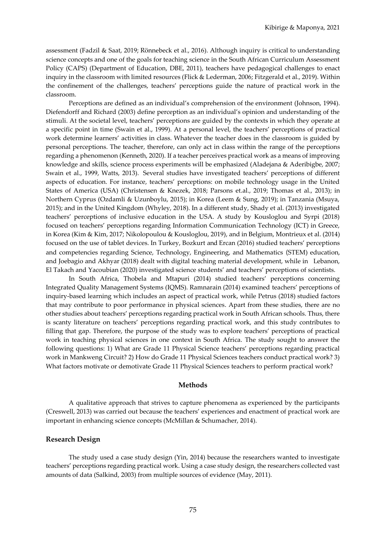assessment (Fadzil & Saat, 2019; Rönnebeck et al., 2016). Although inquiry is critical to understanding science concepts and one of the goals for teaching science in the South African Curriculum Assessment Policy (CAPS) (Department of Education, DBE, 2011), teachers have pedagogical challenges to enact inquiry in the classroom with limited resources (Flick & Lederman, 2006; Fitzgerald et al., 2019). Within the confinement of the challenges, teachers' perceptions guide the nature of practical work in the classroom.

Perceptions are defined as an individual's comprehension of the environment (Johnson, 1994). Diefendorff and Richard (2003) define perception as an individual's opinion and understanding of the stimuli. At the societal level, teachers' perceptions are guided by the contexts in which they operate at a specific point in time (Swain et al., 1999). At a personal level, the teachers' perceptions of practical work determine learners' activities in class. Whatever the teacher does in the classroom is guided by personal perceptions. The teacher, therefore, can only act in class within the range of the perceptions regarding a phenomenon (Kenneth, 2020). If a teacher perceives practical work as a means of improving knowledge and skills, science process experiments will be emphasized (Aladejana & Aderibigbe, 2007; Swain et al., 1999, Watts, 2013). Several studies have investigated teachers' perceptions of different aspects of education. For instance, teachers' perceptions: on mobile technology usage in the United States of America (USA) (Christensen & Knezek, 2018; Parsons et.al., 2019; Thomas et al., 2013); in Northern Cyprus (Ozdamli & Uzunboylu, 2015); in Korea (Leem & Sung, 2019); in Tanzania (Msuya, 2015); and in the United Kingdom (Whyley, 2018). In a different study, Shady et al. (2013) investigated teachers' perceptions of inclusive education in the USA. A study by Kousloglou and Syrpi (2018) focused on teachers' perceptions regarding Information Communication Technology (ICT) in Greece, in Korea (Kim & Kim, 2017; Nikolopoulou & Kousloglou, 2019), and in Belgium, Montrieux et al. (2014) focused on the use of tablet devices. In Turkey, Bozkurt and Ercan (2016) studied teachers' perceptions and competencies regarding Science, Technology, Engineering, and Mathematics (STEM) education, and Joebagio and Akhyar (2018) dealt with digital teaching material development, while in Lebanon, El Takach and Yacoubian (2020) investigated science students' and teachers' perceptions of scientists.

In South Africa, Thobela and Mtapuri (2014) studied teachers' perceptions concerning Integrated Quality Management Systems (IQMS). Ramnarain (2014) examined teachers' perceptions of inquiry-based learning which includes an aspect of practical work, while Petrus (2018) studied factors that may contribute to poor performance in physical sciences. Apart from these studies, there are no other studies about teachers' perceptions regarding practical work in South African schools. Thus, there is scanty literature on teachers' perceptions regarding practical work, and this study contributes to filling that gap. Therefore, the purpose of the study was to explore teachers' perceptions of practical work in teaching physical sciences in one context in South Africa. The study sought to answer the following questions: 1) What are Grade 11 Physical Science teachers' perceptions regarding practical work in Mankweng Circuit? 2) How do Grade 11 Physical Sciences teachers conduct practical work? 3) What factors motivate or demotivate Grade 11 Physical Sciences teachers to perform practical work?

#### **Methods**

A qualitative approach that strives to capture phenomena as experienced by the participants (Creswell, 2013) was carried out because the teachers' experiences and enactment of practical work are important in enhancing science concepts (McMillan & Schumacher, 2014).

#### **Research Design**

The study used a case study design (Yin, 2014) because the researchers wanted to investigate teachers' perceptions regarding practical work. Using a case study design, the researchers collected vast amounts of data (Salkind, 2003) from multiple sources of evidence (May, 2011).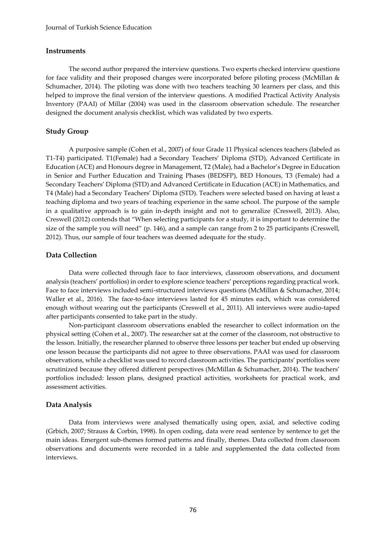#### **Instruments**

The second author prepared the interview questions. Two experts checked interview questions for face validity and their proposed changes were incorporated before piloting process (McMillan & Schumacher, 2014). The piloting was done with two teachers teaching 30 learners per class, and this helped to improve the final version of the interview questions. A modified Practical Activity Analysis Inventory (PAAI) of Millar (2004) was used in the classroom observation schedule. The researcher designed the document analysis checklist, which was validated by two experts.

## **Study Group**

A purposive sample (Cohen et al., 2007) of four Grade 11 Physical sciences teachers (labeled as T1-T4) participated. T1(Female) had a Secondary Teachers' Diploma (STD), Advanced Certificate in Education (ACE) and Honours degree in Management, T2 (Male), had a Bachelor's Degree in Education in Senior and Further Education and Training Phases (BEDSFP), BED Honours, T3 (Female) had a Secondary Teachers' Diploma (STD) and Advanced Certificate in Education (ACE) in Mathematics, and T4 (Male) had a Secondary Teachers' Diploma (STD). Teachers were selected based on having at least a teaching diploma and two years of teaching experience in the same school. The purpose of the sample in a qualitative approach is to gain in-depth insight and not to generalize (Creswell, 2013). Also, Creswell (2012) contends that "When selecting participants for a study, it is important to determine the size of the sample you will need" (p. 146), and a sample can range from 2 to 25 participants (Creswell, 2012). Thus, our sample of four teachers was deemed adequate for the study.

#### **Data Collection**

Data were collected through face to face interviews, classroom observations, and document analysis (teachers' portfolios) in order to explore science teachers' perceptions regarding practical work. Face to face interviews included semi-structured interviews questions (McMillan & Schumacher, 2014; Waller et al., 2016). The face-to-face interviews lasted for 45 minutes each, which was considered enough without wearing out the participants (Creswell et al., 2011). All interviews were audio-taped after participants consented to take part in the study.

Non-participant classroom observations enabled the researcher to collect information on the physical setting (Cohen et al., 2007). The researcher sat at the corner of the classroom, not obstructive to the lesson. Initially, the researcher planned to observe three lessons per teacher but ended up observing one lesson because the participants did not agree to three observations. PAAI was used for classroom observations, while a checklist was used to record classroom activities. The participants' portfolios were scrutinized because they offered different perspectives (McMillan & Schumacher, 2014). The teachers' portfolios included: lesson plans, designed practical activities, worksheets for practical work, and assessment activities.

#### **Data Analysis**

Data from interviews were analysed thematically using open, axial, and selective coding (Grbich, 2007; Strauss & Corbin, 1998). In open coding, data were read sentence by sentence to get the main ideas. Emergent sub-themes formed patterns and finally, themes. Data collected from classroom observations and documents were recorded in a table and supplemented the data collected from interviews.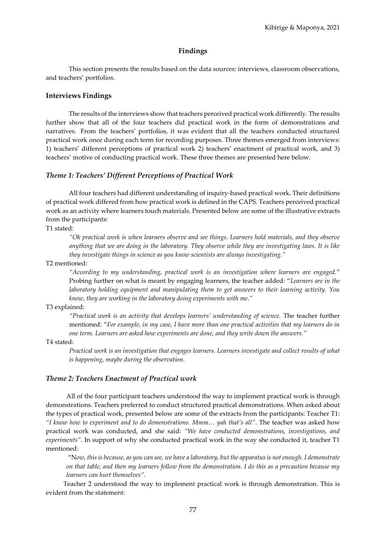## **Findings**

This section presents the results based on the data sources: interviews, classroom observations, and teachers' portfolios.

#### **Interviews Findings**

The results of the interviews show that teachers perceived practical work differently. The results further show that all of the four teachers did practical work in the form of demonstrations and narratives. From the teachers' portfolios, it was evident that all the teachers conducted structured practical work once during each term for recording purposes. Three themes emerged from interviews: 1) teachers' different perceptions of practical work 2) teachers' enactment of practical work, and 3) teachers' motive of conducting practical work. These three themes are presented here below.

#### *Theme 1: Teachers' Different Perceptions of Practical Work*

All four teachers had different understanding of inquiry-based practical work. Their definitions of practical work differed from how practical work is defined in the CAPS. Teachers perceived practical work as an activity where learners touch materials. Presented below are some of the illustrative extracts from the participants:

T1 stated:

*"Ok practical work is when learners observe and see things. Learners hold materials, and they observe anything that we are doing in the laboratory. They observe while they are investigating laws. It is like they investigate things in science as you know scientists are always investigating."*

## T2 mentioned:

*"According to my understanding, practical work is an investigation where learners are engaged.*" Probing further on what is meant by engaging learners, the teacher added: "*Learners are in the laboratory holding equipment and manipulating them to get answers to their learning activity. You know, they are working in the laboratory doing experiments with me."*

#### T3 explained:

*"Practical work is an activity that develops learners' understanding of science.* The teacher further mentioned: "*For example, in my case, I have more than one practical activities that my learners do in one term. Learners are asked how experiments are done, and they write down the answers."*

#### T4 stated:

*Practical work is an investigation that engages learners. Learners investigate and collect results of what is happening, maybe during the observation.* 

#### *Theme 2: Teachers Enactment of Practical work*

All of the four participant teachers understood the way to implement practical work is through demonstrations. Teachers preferred to conduct structured practical demonstrations. When asked about the types of practical work, presented below are some of the extracts from the participants: Teacher T1: *"I know how to experiment and to do demonstrations. Mmm… yah that's all"*. The teacher was asked how practical work was conducted, and she said: *"We have conducted demonstrations, investigations, and experiments".* In support of why she conducted practical work in the way she conducted it, teacher T1 mentioned:

"N*ow, this is because, as you can see, we have a laboratory, but the apparatus is not enough. I demonstrate on that table, and then my learners follow from the demonstration. I do this as a precaution because my learners can hurt themselves".* 

Teacher 2 understood the way to implement practical work is through demonstration. This is evident from the statement: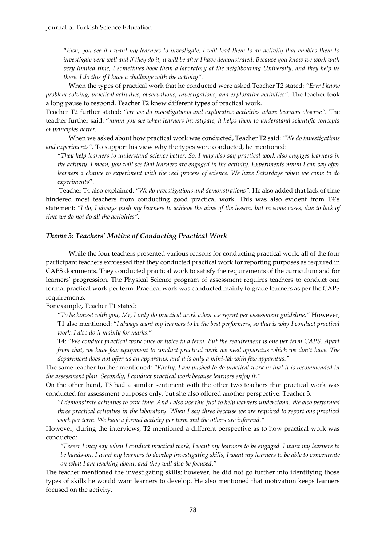"*Eish, you see if I want my learners to investigate, I will lead them to an activity that enables them to investigate very well and if they do it, it will be after I have demonstrated. Because you know we work with very limited time, I sometimes book them a laboratory at the neighbouring University, and they help us there. I do this if I have a challenge with the activity".* 

When the types of practical work that he conducted were asked Teacher T2 stated: *"Errr I know problem-solving, practical activities, observations, investigations, and explorative activities".* The teacher took a long pause to respond. Teacher T2 knew different types of practical work.

Teacher T2 further stated: "*err we do investigations and explorative activities where learners observe".* The teacher further said: "*mmm you see when learners investigate, it helps them to understand scientific concepts or principles better.*

When we asked about how practical work was conducted, Teacher T2 said: *"We do investigations and experiments".* To support his view why the types were conducted, he mentioned:

"*They help learners to understand science better. So, I may also say practical work also engages learners in the activity. I mean, you will see that learners are engaged in the activity. Experiments mmm I can say offer learners a chance to experiment with the real process of science. We have Saturdays when we come to do experiments*".

Teacher T4 also explained: "*We do investigations and demonstrations".* He also added that lack of time hindered most teachers from conducting good practical work. This was also evident from T4's statement: *"I do, I always push my learners to achieve the aims of the lesson, but in some cases, due to lack of time we do not do all the activities".*

#### *Theme 3: Teachers' Motive of Conducting Practical Work*

While the four teachers presented various reasons for conducting practical work, all of the four participant teachers expressed that they conducted practical work for reporting purposes as required in CAPS documents. They conducted practical work to satisfy the requirements of the curriculum and for learners' progression. The Physical Science program of assessment requires teachers to conduct one formal practical work per term. Practical work was conducted mainly to grade learners as per the CAPS requirements.

#### For example, Teacher T1 stated:

"*To be honest with you, Mr, I only do practical work when we report per assessment guideline."* However, T1 also mentioned: "*I always want my learners to be the best performers, so that is why I conduct practical work. I also do it mainly for marks*."

T4: "*We conduct practical work once or twice in a term. But the requirement is one per term CAPS. Apart from that, we have few equipment to conduct practical work we need apparatus which we don't have. The department does not offer us an apparatus, and it is only a mini-lab with few apparatus."*

The same teacher further mentioned*: "Firstly, I am pushed to do practical work in that it is recommended in the assessment plan. Secondly, I conduct practical work because learners enjoy it."*

On the other hand, T3 had a similar sentiment with the other two teachers that practical work was conducted for assessment purposes only, but she also offered another perspective. Teacher 3:

"*I demonstrate activities to save time. And I also use this just to help learners understand. We also performed three practical activities in the laboratory. When I say three because we are required to report one practical work per term. We have a formal activity per term and the others are informal."* 

However, during the interviews, T2 mentioned a different perspective as to how practical work was conducted:

"*Eeeerr I may say when I conduct practical work, I want my learners to be engaged. I want my learners to be hands-on. I want my learners to develop investigating skills, I want my learners to be able to concentrate on what I am teaching about, and they will also be focused.*"

The teacher mentioned the investigating skills; however, he did not go further into identifying those types of skills he would want learners to develop. He also mentioned that motivation keeps learners focused on the activity.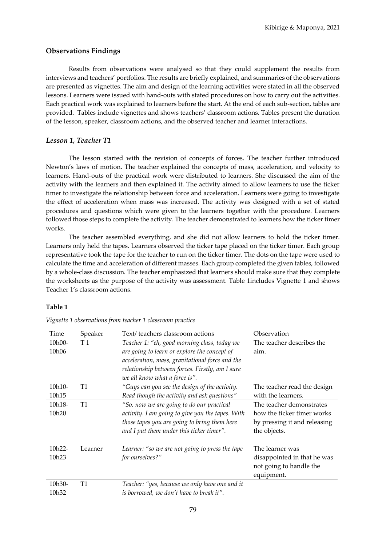## **Observations Findings**

Results from observations were analysed so that they could supplement the results from interviews and teachers' portfolios. The results are briefly explained, and summaries of the observations are presented as vignettes. The aim and design of the learning activities were stated in all the observed lessons. Learners were issued with hand-outs with stated procedures on how to carry out the activities. Each practical work was explained to learners before the start. At the end of each sub-section, tables are provided. Tables include vignettes and shows teachers' classroom actions. Tables present the duration of the lesson, speaker, classroom actions, and the observed teacher and learner interactions.

## *Lesson 1, Teacher T1*

The lesson started with the revision of concepts of forces. The teacher further introduced Newton's laws of motion. The teacher explained the concepts of mass, acceleration, and velocity to learners. Hand-outs of the practical work were distributed to learners. She discussed the aim of the activity with the learners and then explained it. The activity aimed to allow learners to use the ticker timer to investigate the relationship between force and acceleration. Learners were going to investigate the effect of acceleration when mass was increased. The activity was designed with a set of stated procedures and questions which were given to the learners together with the procedure. Learners followed those steps to complete the activity. The teacher demonstrated to learners how the ticker timer works.

The teacher assembled everything, and she did not allow learners to hold the ticker timer. Learners only held the tapes. Learners observed the ticker tape placed on the ticker timer. Each group representative took the tape for the teacher to run on the ticker timer. The dots on the tape were used to calculate the time and acceleration of different masses. Each group completed the given tables, followed by a whole-class discussion. The teacher emphasized that learners should make sure that they complete the worksheets as the purpose of the activity was assessment. Table 1includes Vignette 1 and shows Teacher 1's classroom actions.

#### **Table 1**

| Time              | Speaker        | Text/teachers classroom actions<br>Observation   |                              |
|-------------------|----------------|--------------------------------------------------|------------------------------|
| 10h00-            | T <sub>1</sub> | Teacher 1: "eh, good morning class, today we     | The teacher describes the    |
| 10h06             |                | are going to learn or explore the concept of     | aim.                         |
|                   |                | acceleration, mass, gravitational force and the  |                              |
|                   |                | relationship between forces. Firstly, am I sure  |                              |
|                   |                | we all know what a force is".                    |                              |
| 10h10-            | T1             | "Guys can you see the design of the activity.    | The teacher read the design  |
| 10h15             |                | Read though the activity and ask questions"      | with the learners.           |
| 10h18-            | T1             | "So, now we are going to do our practical        | The teacher demonstrates     |
| 10h <sub>20</sub> |                | activity. I am going to give you the tapes. With | how the ticker timer works   |
|                   |                | those tapes you are going to bring them here     | by pressing it and releasing |
|                   |                | and I put them under this ticker timer".         | the objects.                 |
|                   |                |                                                  |                              |
| 10h22-            | Learner        | Learner: "so we are not going to press the tape  | The learner was              |
| 10h <sub>23</sub> |                | for ourselves?"                                  | disappointed in that he was  |
|                   |                |                                                  | not going to handle the      |
|                   |                |                                                  | equipment.                   |
| 10h30-            | T1             | Teacher: "yes, because we only have one and it   |                              |
| 10h32             |                | is borrowed, we don't have to break it".         |                              |

*Vignette 1 observations from teacher 1 classroom practice*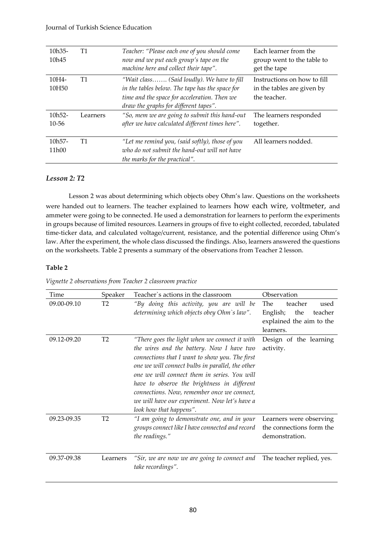## Journal of Turkish Science Education

| $10h35-$<br>10 <sub>h45</sub>  | T1       | Teacher: "Please each one of you should come<br>now and we put each group's tape on the<br>machine here and collect their tape".                                                       | Each learner from the<br>group went to the table to<br>get the tape       |
|--------------------------------|----------|----------------------------------------------------------------------------------------------------------------------------------------------------------------------------------------|---------------------------------------------------------------------------|
| $10H4-$<br>10H <sub>50</sub>   | T1       | "Wait class (Said loudly). We have to fill<br>in the tables below. The tape has the space for<br>time and the space for acceleration. Then we<br>draw the graphs for different tapes". | Instructions on how to fill<br>in the tables are given by<br>the teacher. |
| $10h52 -$<br>$10 - 56$         | Learners | "So, mem we are going to submit this hand-out<br>after we have calculated different times here".                                                                                       | The learners responded<br>together.                                       |
| $10h57-$<br>11 <sub>h</sub> 00 | T1       | "Let me remind you, (said softly), those of you<br>who do not submit the hand-out will not have<br>the marks for the practical".                                                       | All learners nodded.                                                      |

## *Lesson 2: T2*

Lesson 2 was about determining which objects obey Ohm's law. Questions on the worksheets were handed out to learners. The teacher explained to learners how each wire, voltmeter, and ammeter were going to be connected. He used a demonstration for learners to perform the experiments in groups because of limited resources. Learners in groups of five to eight collected, recorded, tabulated time-ticker data, and calculated voltage/current, resistance, and the potential difference using Ohm's law. After the experiment, the whole class discussed the findings. Also, learners answered the questions on the worksheets. Table 2 presents a summary of the observations from Teacher 2 lesson.

## **Table 2**

| Time        | Speaker        | Teacher's actions in the classroom                                                                                                                                                                                                                                                                                                                                                                                         | Observation                                                                                          |  |
|-------------|----------------|----------------------------------------------------------------------------------------------------------------------------------------------------------------------------------------------------------------------------------------------------------------------------------------------------------------------------------------------------------------------------------------------------------------------------|------------------------------------------------------------------------------------------------------|--|
| 09.00-09.10 | Т2             | "By doing this activity, you are will be<br>determining which objects obey Ohm's law".                                                                                                                                                                                                                                                                                                                                     | teacher<br><b>The</b><br>used<br>the<br>English;<br>teacher<br>explained the aim to the<br>learners. |  |
| 09.12-09.20 | T <sub>2</sub> | "There goes the light when we connect it with<br>the wires and the battery. Now I have two<br>connections that I want to show you. The first<br>one we will connect bulbs in parallel, the other<br>one we will connect them in series. You will<br>have to observe the brightness in different<br>connections. Now, remember once we connect,<br>we will have our experiment. Now let's have a<br>look how that happens". | Design of the learning<br>activity.                                                                  |  |
| 09.23-09.35 | T <sub>2</sub> | "I am going to demonstrate one, and in your<br>groups connect like I have connected and record<br>the readings."                                                                                                                                                                                                                                                                                                           | Learners were observing<br>the connections form the<br>demonstration.                                |  |
| 09.37-09.38 | Learners       | "Sir, we are now we are going to connect and The teacher replied, yes.<br>take recordings".                                                                                                                                                                                                                                                                                                                                |                                                                                                      |  |

*Vignette 2 observations from Teacher 2 classroom practice*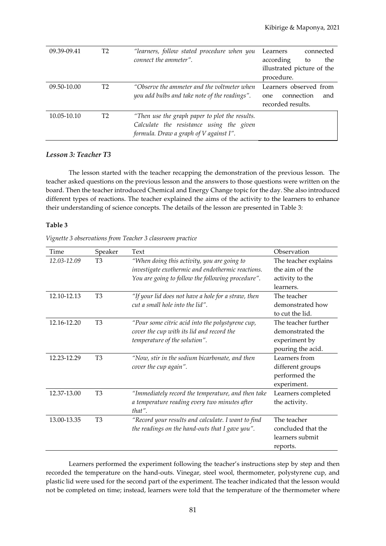| 09.39-09.41 |    | "learners, follow stated procedure when you    | Learners<br>connected      |  |
|-------------|----|------------------------------------------------|----------------------------|--|
|             |    | connect the ammeter".                          | according<br>the<br>to     |  |
|             |    |                                                | illustrated picture of the |  |
|             |    |                                                | procedure.                 |  |
| 09.50-10.00 | T2 | "Observe the ammeter and the voltmeter when    | Learners observed from     |  |
|             |    | you add bulbs and take note of the readings".  | connection<br>and<br>one.  |  |
|             |    |                                                | recorded results.          |  |
| 10.05-10.10 | Т2 | "Then use the graph paper to plot the results. |                            |  |
|             |    | Calculate the resistance using the given       |                            |  |
|             |    | formula. Draw a graph of V against I".         |                            |  |

## *Lesson 3: Teacher T3*

The lesson started with the teacher recapping the demonstration of the previous lesson. The teacher asked questions on the previous lesson and the answers to those questions were written on the board. Then the teacher introduced Chemical and Energy Change topic for the day. She also introduced different types of reactions. The teacher explained the aims of the activity to the learners to enhance their understanding of science concepts. The details of the lesson are presented in Table 3:

## **Table 3**

| Time        | Speaker        | Text                                                | Observation          |
|-------------|----------------|-----------------------------------------------------|----------------------|
| 12.03-12.09 | T <sub>3</sub> | "When doing this activity, you are going to         | The teacher explains |
|             |                | investigate exothermic and endothermic reactions.   | the aim of the       |
|             |                | You are going to follow the following procedure".   | activity to the      |
|             |                |                                                     | learners.            |
| 12.10-12.13 | T <sub>3</sub> | "If your lid does not have a hole for a straw, then | The teacher          |
|             |                | cut a small hole into the lid".                     | demonstrated how     |
|             |                |                                                     | to cut the lid.      |
| 12.16-12.20 | T <sub>3</sub> | "Pour some citric acid into the polystyrene cup,    | The teacher further  |
|             |                | cover the cup with its lid and record the           | demonstrated the     |
|             |                | temperature of the solution".                       | experiment by        |
|             |                |                                                     | pouring the acid.    |
| 12.23-12.29 | T <sub>3</sub> | "Now, stir in the sodium bicarbonate, and then      | Learners from        |
|             |                | cover the cup again".                               | different groups     |
|             |                |                                                     | performed the        |
|             |                |                                                     | experiment.          |
| 12.37-13.00 | T <sub>3</sub> | "Immediately record the temperature, and then take  | Learners completed   |
|             |                | a temperature reading every two minutes after       | the activity.        |
|             |                | that".                                              |                      |
| 13.00-13.35 | T <sub>3</sub> | "Record your results and calculate. I want to find  | The teacher          |
|             |                | the readings on the hand-outs that I gave you".     | concluded that the   |
|             |                |                                                     | learners submit      |
|             |                |                                                     | reports.             |

Learners performed the experiment following the teacher's instructions step by step and then recorded the temperature on the hand-outs. Vinegar, steel wool, thermometer, polystyrene cup, and plastic lid were used for the second part of the experiment. The teacher indicated that the lesson would not be completed on time; instead, learners were told that the temperature of the thermometer where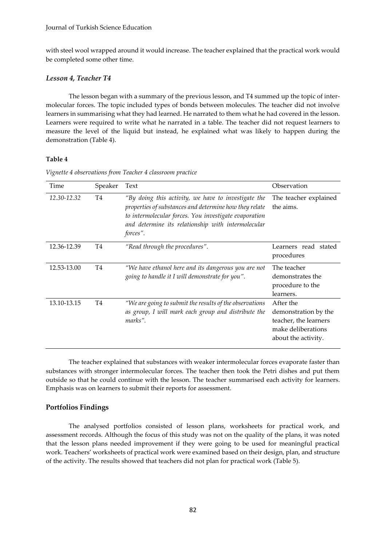#### Journal of Turkish Science Education

with steel wool wrapped around it would increase. The teacher explained that the practical work would be completed some other time.

# *Lesson 4, Teacher T4*

The lesson began with a summary of the previous lesson, and T4 summed up the topic of intermolecular forces. The topic included types of bonds between molecules. The teacher did not involve learners in summarising what they had learned. He narrated to them what he had covered in the lesson. Learners were required to write what he narrated in a table. The teacher did not request learners to measure the level of the liquid but instead, he explained what was likely to happen during the demonstration (Table 4).

## **Table 4**

| Time        | Speaker | Text                                                                                                                                                                                                                                     | Observation                                                                                             |
|-------------|---------|------------------------------------------------------------------------------------------------------------------------------------------------------------------------------------------------------------------------------------------|---------------------------------------------------------------------------------------------------------|
| 12.30-12.32 | T4      | "By doing this activity, we have to investigate the<br>properties of substances and determine how they relate<br>to intermolecular forces. You investigate evaporation<br>and determine its relationship with intermolecular<br>forces". | The teacher explained<br>the aims.                                                                      |
| 12.36-12.39 | T4      | "Read through the procedures".                                                                                                                                                                                                           | Learners read stated<br>procedures                                                                      |
| 12.53-13.00 | T4      | "We have ethanol here and its dangerous you are not<br>going to handle it I will demonstrate for you".                                                                                                                                   | The teacher<br>demonstrates the<br>procedure to the<br>learners.                                        |
| 13.10-13.15 | T4      | "We are going to submit the results of the observations<br>as group, I will mark each group and distribute the<br>marks".                                                                                                                | After the<br>demonstration by the<br>teacher, the learners<br>make deliberations<br>about the activity. |

*Vignette 4 observations from Teacher 4 classroom practice*

The teacher explained that substances with weaker intermolecular forces evaporate faster than substances with stronger intermolecular forces. The teacher then took the Petri dishes and put them outside so that he could continue with the lesson. The teacher summarised each activity for learners. Emphasis was on learners to submit their reports for assessment.

# **Portfolios Findings**

The analysed portfolios consisted of lesson plans, worksheets for practical work, and assessment records. Although the focus of this study was not on the quality of the plans, it was noted that the lesson plans needed improvement if they were going to be used for meaningful practical work. Teachers' worksheets of practical work were examined based on their design, plan, and structure of the activity. The results showed that teachers did not plan for practical work (Table 5).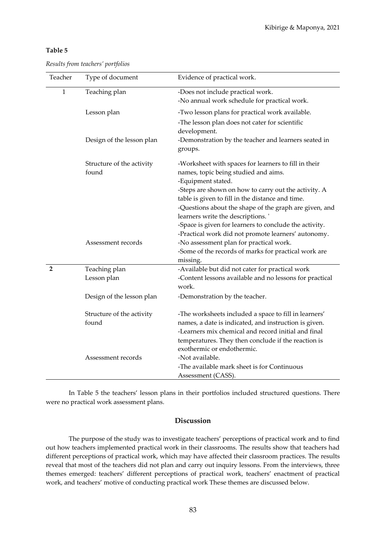#### **Table 5**

| Teacher        | Type of document                   | Evidence of practical work.                                                                                                                                                                                                  |  |
|----------------|------------------------------------|------------------------------------------------------------------------------------------------------------------------------------------------------------------------------------------------------------------------------|--|
| 1              | Teaching plan                      | -Does not include practical work.<br>-No annual work schedule for practical work.                                                                                                                                            |  |
|                | Lesson plan                        | -Two lesson plans for practical work available.                                                                                                                                                                              |  |
|                |                                    | -The lesson plan does not cater for scientific<br>development.                                                                                                                                                               |  |
|                | Design of the lesson plan          | -Demonstration by the teacher and learners seated in<br>groups.                                                                                                                                                              |  |
|                | Structure of the activity<br>found | -Worksheet with spaces for learners to fill in their<br>names, topic being studied and aims.<br>-Equipment stated.<br>-Steps are shown on how to carry out the activity. A                                                   |  |
|                |                                    | table is given to fill in the distance and time.<br>-Questions about the shape of the graph are given, and<br>learners write the descriptions.'                                                                              |  |
|                | Assessment records                 | -Space is given for learners to conclude the activity.<br>-Practical work did not promote learners' autonomy.<br>-No assessment plan for practical work.<br>-Some of the records of marks for practical work are<br>missing. |  |
| $\overline{2}$ | Teaching plan                      | -Available but did not cater for practical work                                                                                                                                                                              |  |
|                | Lesson plan                        | -Content lessons available and no lessons for practical<br>work.                                                                                                                                                             |  |
|                | Design of the lesson plan          | -Demonstration by the teacher.                                                                                                                                                                                               |  |
|                | Structure of the activity<br>found | -The worksheets included a space to fill in learners'<br>names, a date is indicated, and instruction is given.                                                                                                               |  |
|                |                                    | -Learners mix chemical and record initial and final<br>temperatures. They then conclude if the reaction is<br>exothermic or endothermic.                                                                                     |  |
|                | Assessment records                 | -Not available.<br>-The available mark sheet is for Continuous<br>Assessment (CASS).                                                                                                                                         |  |

|  | Results from teachers' portfolios |  |
|--|-----------------------------------|--|
|  |                                   |  |

In Table 5 the teachers' lesson plans in their portfolios included structured questions. There were no practical work assessment plans.

## **Discussion**

The purpose of the study was to investigate teachers' perceptions of practical work and to find out how teachers implemented practical work in their classrooms. The results show that teachers had different perceptions of practical work, which may have affected their classroom practices. The results reveal that most of the teachers did not plan and carry out inquiry lessons. From the interviews, three themes emerged: teachers' different perceptions of practical work, teachers' enactment of practical work, and teachers' motive of conducting practical work These themes are discussed below.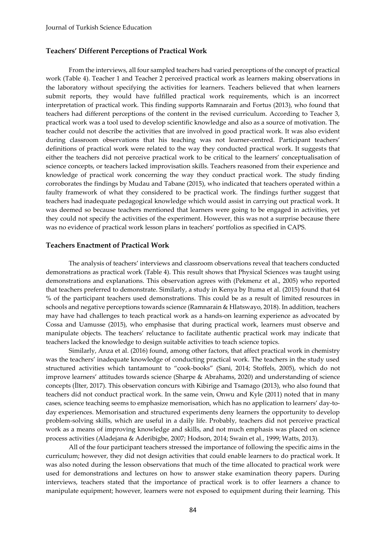#### **Teachers' Different Perceptions of Practical Work**

From the interviews, all four sampled teachers had varied perceptions of the concept of practical work (Table 4). Teacher 1 and Teacher 2 perceived practical work as learners making observations in the laboratory without specifying the activities for learners. Teachers believed that when learners submit reports, they would have fulfilled practical work requirements, which is an incorrect interpretation of practical work. This finding supports Ramnarain and Fortus (2013), who found that teachers had different perceptions of the content in the revised curriculum. According to Teacher 3, practical work was a tool used to develop scientific knowledge and also as a source of motivation. The teacher could not describe the activities that are involved in good practical work. It was also evident during classroom observations that his teaching was not learner-centred. Participant teachers' definitions of practical work were related to the way they conducted practical work. It suggests that either the teachers did not perceive practical work to be critical to the learners' conceptualisation of science concepts, or teachers lacked improvisation skills. Teachers reasoned from their experience and knowledge of practical work concerning the way they conduct practical work. The study finding corroborates the findings by Mudau and Tabane (2015), who indicated that teachers operated within a faulty framework of what they considered to be practical work. The findings further suggest that teachers had inadequate pedagogical knowledge which would assist in carrying out practical work. It was deemed so because teachers mentioned that learners were going to be engaged in activities, yet they could not specify the activities of the experiment. However, this was not a surprise because there was no evidence of practical work lesson plans in teachers' portfolios as specified in CAPS.

#### **Teachers Enactment of Practical Work**

The analysis of teachers' interviews and classroom observations reveal that teachers conducted demonstrations as practical work (Table 4). This result shows that Physical Sciences was taught using demonstrations and explanations. This observation agrees with (Pekmenz et al., 2005) who reported that teachers preferred to demonstrate. Similarly, a study in Kenya by Ituma et al. (2015) found that 64 % of the participant teachers used demonstrations. This could be as a result of limited resources in schools and negative perceptions towards science (Ramnarain & Hlatswayo, 2018). In addition, teachers may have had challenges to teach practical work as a hands-on learning experience as advocated by Cossa and Uamusse (2015), who emphasise that during practical work, learners must observe and manipulate objects. The teachers' reluctance to facilitate authentic practical work may indicate that teachers lacked the knowledge to design suitable activities to teach science topics.

Similarly, Anza et al. (2016) found, among other factors, that affect practical work in chemistry was the teachers' inadequate knowledge of conducting practical work. The teachers in the study used structured activities which tantamount to "cook-books" (Sani, 2014; Stoffels, 2005), which do not improve learners' attitudes towards science (Sharpe & Abrahams, 2020) and understanding of science concepts (İlter, 2017). This observation concurs with Kibirige and Tsamago (2013), who also found that teachers did not conduct practical work. In the same vein, Onwu and Kyle (2011) noted that in many cases, science teaching seems to emphasize memorisation, which has no application to learners' day-today experiences. Memorisation and structured experiments deny learners the opportunity to develop problem-solving skills, which are useful in a daily life. Probably, teachers did not perceive practical work as a means of improving knowledge and skills, and not much emphasis was placed on science process activities (Aladejana & Aderibigbe, 2007; Hodson, 2014; Swain et al., 1999; Watts, 2013).

All of the four participant teachers stressed the importance of following the specific aims in the curriculum; however, they did not design activities that could enable learners to do practical work. It was also noted during the lesson observations that much of the time allocated to practical work were used for demonstrations and lectures on how to answer stake examination theory papers. During interviews, teachers stated that the importance of practical work is to offer learners a chance to manipulate equipment; however, learners were not exposed to equipment during their learning. This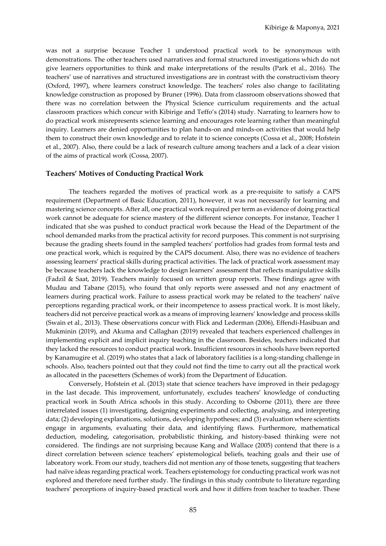was not a surprise because Teacher 1 understood practical work to be synonymous with demonstrations. The other teachers used narratives and formal structured investigations which do not give learners opportunities to think and make interpretations of the results (Park et al., 2016). The teachers' use of narratives and structured investigations are in contrast with the constructivism theory (Oxford, 1997), where learners construct knowledge. The teachers' roles also change to facilitating knowledge construction as proposed by Bruner (1996). Data from classroom observations showed that there was no correlation between the Physical Science curriculum requirements and the actual classroom practices which concur with Kibirige and Teffo's (2014) study. Narrating to learners how to do practical work misrepresents science learning and encourages rote learning rather than meaningful inquiry. Learners are denied opportunities to plan hands-on and minds-on activities that would help them to construct their own knowledge and to relate it to science concepts (Cossa et al., 2008; Hofstein et al., 2007). Also, there could be a lack of research culture among teachers and a lack of a clear vision of the aims of practical work (Cossa, 2007).

#### **Teachers' Motives of Conducting Practical Work**

The teachers regarded the motives of practical work as a pre-requisite to satisfy a CAPS requirement (Department of Basic Education, 2011), however, it was not necessarily for learning and mastering science concepts. After all, one practical work required per term as evidence of doing practical work cannot be adequate for science mastery of the different science concepts. For instance, Teacher 1 indicated that she was pushed to conduct practical work because the Head of the Department of the school demanded marks from the practical activity for record purposes. This comment is not surprising because the grading sheets found in the sampled teachers' portfolios had grades from formal tests and one practical work, which is required by the CAPS document. Also, there was no evidence of teachers assessing learners' practical skills during practical activities. The lack of practical work assessment may be because teachers lack the knowledge to design learners' assessment that reflects manipulative skills (Fadzil & Saat, 2019). Teachers mainly focused on written group reports. These findings agree with Mudau and Tabane (2015), who found that only reports were assessed and not any enactment of learners during practical work. Failure to assess practical work may be related to the teachers' naïve perceptions regarding practical work, or their incompetence to assess practical work. It is most likely, teachers did not perceive practical work as a means of improving learners' knowledge and process skills (Swain et al., 2013). These observations concur with Flick and Lederman (2006), Effendi-Hasibuan and Mukminin (2019), and Akuma and Callaghan (2019) revealed that teachers experienced challenges in implementing explicit and implicit inquiry teaching in the classroom. Besides, teachers indicated that they lacked the resources to conduct practical work. Insufficient resources in schools have been reported by Kanamugire et al. (2019) who states that a lack of laboratory facilities is a long-standing challenge in schools. Also, teachers pointed out that they could not find the time to carry out all the practical work as allocated in the pacesetters (Schemes of work) from the Department of Education.

Conversely, Hofstein et al. (2013) state that science teachers have improved in their pedagogy in the last decade. This improvement, unfortunately, excludes teachers' knowledge of conducting practical work in South Africa schools in this study. According to Osborne (2011), there are three interrelated issues (1) investigating, designing experiments and collecting, analysing, and interpreting data; (2) developing explanations, solutions, developing hypotheses; and (3) evaluation where scientists engage in arguments, evaluating their data, and identifying flaws. Furthermore, mathematical deduction, modeling, categorisation, probabilistic thinking, and history-based thinking were not considered. The findings are not surprising because Kang and Wallace (2005) contend that there is a direct correlation between science teachers' epistemological beliefs, teaching goals and their use of laboratory work. From our study, teachers did not mention any of those tenets, suggesting that teachers had naïve ideas regarding practical work. Teachers epistemology for conducting practical work was not explored and therefore need further study. The findings in this study contribute to literature regarding teachers' perceptions of inquiry-based practical work and how it differs from teacher to teacher. These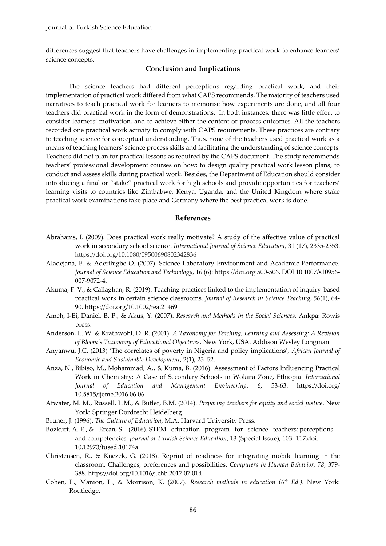differences suggest that teachers have challenges in implementing practical work to enhance learners' science concepts.

## **Conclusion and Implications**

The science teachers had different perceptions regarding practical work, and their implementation of practical work differed from what CAPS recommends. The majority of teachers used narratives to teach practical work for learners to memorise how experiments are done, and all four teachers did practical work in the form of demonstrations. In both instances, there was little effort to consider learners' motivation, and to achieve either the content or process outcomes. All the teachers recorded one practical work activity to comply with CAPS requirements. These practices are contrary to teaching science for conceptual understanding. Thus, none of the teachers used practical work as a means of teaching learners' science process skills and facilitating the understanding of science concepts. Teachers did not plan for practical lessons as required by the CAPS document. The study recommends teachers' professional development courses on how: to design quality practical work lesson plans; to conduct and assess skills during practical work. Besides, the Department of Education should consider introducing a final or "stake" practical work for high schools and provide opportunities for teachers' learning visits to countries like Zimbabwe, Kenya, Uganda, and the United Kingdom where stake practical work examinations take place and Germany where the best practical work is done.

#### **References**

- Abrahams, I. (2009). Does practical work really motivate? A study of the affective value of practical work in secondary school science. *International Journal of Science Education*, 31 (17), 2335-2353. https://doi.org/10.1080/09500690802342836
- Aladejana, F. & Aderibigbe O. (2007). Science Laboratory Environment and Academic Performance. *Journal of Science Education and Technology*, 16 (6): https://doi.org 500-506. DOI 10.1007/s10956- 007-9072-4.
- Akuma, F. V., & Callaghan, R. (2019). Teaching practices linked to the implementation of inquiry‐based practical work in certain science classrooms. *Journal of Research in Science Teaching*, *56*(1), 64- 90. https://doi.org/10.1002/tea.21469
- Ameh, I-Ei, Daniel, B. P., & Akus, Y. (2007). *Research and Methods in the Social Sciences*. Ankpa: Rowis press.
- Anderson, L. W. & Krathwohl, D. R. (2001). *A Taxonomy for Teaching, Learning and Assessing: A Revision of Bloom's Taxonomy of Educational Objectives*. New York, USA. Addison Wesley Longman.
- Anyanwu, J.C. (2013) 'The correlates of poverty in Nigeria and policy implications', *African Journal of Economic and Sustainable Development*, 2(1), 23–52.
- Anza, N., Bibiso, M., Mohammad, A., & Kuma, B. (2016). Assessment of Factors Influencing Practical Work in Chemistry: A Case of Secondary Schools in Wolaita Zone, Ethiopia*. International Journal of Education and Management Engineering,* 6, 53-63. https://doi.org/ 10.5815/ijeme.2016.06.06
- Atwater, M. M., Russell, L.M., & Butler, B.M. (2014). *Preparing teachers for equity and social justice*. New York: Springer Dordrecht Heidelberg.
- Bruner, J. (1996). *The Culture of Education*, M.A: Harvard University Press.
- Bozkurt, A. E., & Ercan, S. (2016). STEM education program for science teachers: perceptions and competencies. *Journal of Turkish Science Education*, 13 (Special Issue), 103 -117.doi: 10.12973/tused.10174a
- Christensen, R., & Knezek, G. (2018). Reprint of readiness for integrating mobile learning in the classroom: Challenges, preferences and possibilities. *Computers in Human Behavior, 78*, 379- 388. https://doi.org/10.1016/j.chb.2017.07.014
- Cohen, L., Manion, L., & Morrison, K. (2007). *Research methods in education (6th Ed.)*. New York: Routledge.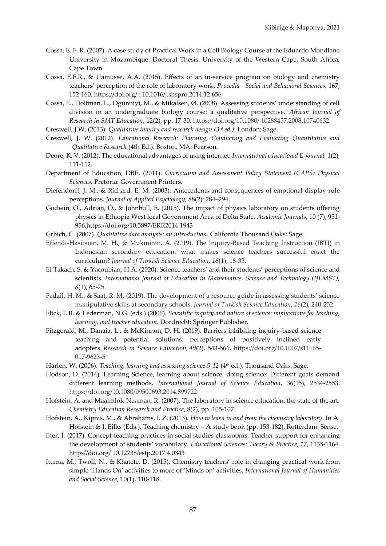- Cossa, E. F. R. (2007). A case study of Practical Work in a Cell Biology Course at the Eduardo Mondlane University in Mozambique. Doctoral Thesis. University of the Western Cape, South Africa, Cape Town.
- Cossa, E.F.R., & Uamusse, A.A. (2015). Effects of an in-service program on biology and chemistry teachers' perception of the role of laboratory work. *Procedia - Social and Behavioral Sciences,* 167, 152-160. https://doi.org/ : 10.1016/j.sbspro.2014.12.656
- Cossa, E., Holtman, L., Ogunniyi, M., & Mikalsen, Ø. (2008). Assessing students' understanding of cell division in an undergraduate biology course: a qualitative perspective. *African Journal of Research in SMT Education*, 12(2), pp. 17-30. https://doi.org/10.1080/ 10288457.2008.10740632
- Creswell, J.W. (2013). *Qualitative inquiry and research design (3rd ed.)*. London: Sage.
- Creswell, J. W. (2012). *Educational Research: Planning, Conducting and Evaluating Quantitative and Qualitative Research* (4th Ed.). Boston, MA: Pearson.
- Deore, K. V. (2012). The educational advantages of using internet. *International educational E-journal,* 1(2), 111-112.
- Department of Education, DBE. (2011). *Curriculum and Assessment Policy Statement (CAPS) Physical Sciences.* Pretoria: Government Printers.
- Diefendorff, J. M., & Richard, E. M. (2003). Antecedents and consequences of emotional display rule perceptions. *Journal of Applied Psychology*, 88(2): 284–294.
- Godwin, O., Adrian, O., & Johnbull, E. (2015). The impact of physics laboratory on students offering physics in Ethiopia West local Government Area of Delta State. *Academic Journals*, 10 (7), 951- 956.https://doi.org/10.5897/ERR2014.1943
- Grbich, C. (2007). *Qualitative data analysis: an introduction.* California Thousand Oaks: Sage.
- Effendi-Hasibuan, M. H., & Mukminin, A. (2019). The Inquiry-Based Teaching Instruction (IBTI) in Indonesian secondary education: what makes science teachers successful enact the curriculum? *Journal of Turkish Science Education*, *16*(1), 18-33.
- El Takach, S. & Yacoubian, H.A. (2020). Science teachers' and their students' perceptions of science and scientists. *International Journal of Education in Mathematics, Science and Technology (IJEMST), 8*(1), 65-75.
- Fadzil, H. M., & Saat, R. M. (2019). The development of a resource guide in assessing students' science manipulative skills at secondary schools. *Journal of Turkish Science Education*, *16*(2), 240-252.
- Flick, L.B. & Lederman, N.G. (eds.) (2006). *Scientific inquiry and nature of science: implications for teaching, learning, and teacher education*. Dordrecht: Springer Publisher.
- Fitzgerald, M., Danaia, L., & McKinnon, D. H. (2019). Barriers inhibiting inquiry-based science teaching and potential solutions: perceptions of positively inclined early adopters. *Research in Science Education*, *49*(2), 543-566. https://doi.org/10.1007/s11165- 017-9623-5
- Harlen, W. (2006). *Teaching, learning and assessing science* 5-12 (4<sup>th</sup> ed.). Thousand Oaks: Sage.
- Hodson, D. (2014). Learning Science, learning about science, doing science: Different goals demand different learning methods. *International Journal of Science Education*, 36(15), 2534-2553. https://doi.org/10.1080/09500693.2014.899722
- Hofstein, A. and Maalmlok-Naaman, R. (2007). The laboratory in science education: the state of the art. *Chemistry Education Research and Practice*, 8(2), pp. 105-107.
- Hofstein, A., Kipnis, M., & Abrahams, I. Z. (2013). *How to learn in and from the chemistry laboratory*. In A. Hofstein & I. Eilks (Eds.), Teaching chemistry – A study book (pp. 153-182). Rotterdam: Sense.
- İlter, İ. (2017). Concept-teaching practices in social studies classrooms: Teacher support for enhancing the development of students' vocabulary*. Educational Sciences: Theory & Practice, 17*, 1135-1164. https//doi.org/ 10.12738/estp.2017.4.0343
- Ituma, M., Twoli, N., & Khatete, D. (2015). Chemistry teachers' role in changing practical work from simple 'Hands On' activities to more of 'Minds on' activities. *International Journal of Humanities and Social Science*, 10(1), 110-118.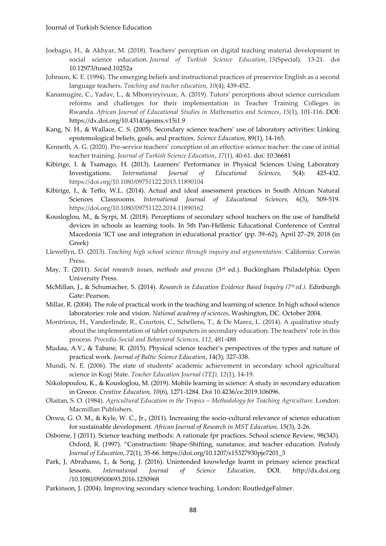- Joebagio, H., & Akhyar, M. (2018). Teachers' perception on digital teaching material development in social science education. *Journal of Turkish Science Education*, *15*(Special), 13-21. doi 10.12973/tused.10252a
- Johnson, K. E. (1994). The emerging beliefs and instructional practices of preservice English as a second language teachers. *Teaching and teacher education*, *10*(4), 439-452.
- Kanamugire, C., Yadav, L., & Mbonyiryivuze, A. (2019). Tutors' perceptions about science curriculum reforms and challenges for their implementation in Teacher Training Colleges in Rwanda. *African Journal of Educational Studies in Mathematics and Sciences*, *15*(1), 101-116. DOI: https://dx.doi.org/10.4314/ajesms.v15i1.9
- Kang, N. H., & Wallace, C. S. (2005). Secondary science teachers' use of laboratory activities: Linking epistemological beliefs, goals, and practices. *Science Education*, 89(1), 14-165.
- Kenneth, A. G. (2020). Pre-service teachers' conception of an effective science teacher: the case of initial teacher training. *Journal of Turkish Science Education*, *17*(1), 40-61. doi: 10.36681
- Kibirige, I. & Tsamago, H. (2013). Learners' Performance in Physical Sciences Using Laboratory Investigations. *International Journal of Educational Sciences,* 5(4): 425-432. https://doi.org/10.1080/09751122.2013.11890104
- Kibirige, I., & Teffo, W.L. (2014). Actual and ideal assessment practices in South African Natural Sciences Classrooms. *International Journal of Educational Sciences*, 6(3), 509-519. https://doi.org/10.1080/09751122.2014.11890162
- Kousloglou, M., & Syrpi, M. (2018). Perceptions of secondary school teachers on the use of handheld devices in schools as learning tools. In 5th Pan-Hellenic Educational Conference of Central Macedonia 'ICT use and integration in educational practice' (pp. 39–62), April 27–29, 2018 (in Greek)
- Llewellyn, D. (2013). *Teaching high school science through inquiry and argumentation*. California: Corwin Press.
- May, T. (2011). *Social research issues, methods and process* (3rd ed.). Buckingham Philadelphia: Open University Press.
- McMillan, J., & Schumacher, S. (2014). *Research in Education Evidence Based Inquiry (7th ed.).* Edinburgh Gate: Pearson.
- Millar, R. (2004). The role of practical work in the teaching and learning of science. In high school science laboratories: role and vision. *National academy of sciences*, Washington, DC. October 2004.
- Montrieux, H., Vanderlinde, R., Courtois, C., Schellens, T., & De Marez, L. (2014). A qualitative study about the implementation of tablet computers in secondary education: The teachers' role in this process. *Procedia-Social and Behavioral Sciences*, *112*, 481-488
- Mudau, A.V., & Tabane, R. (2015). Physical science teacher's perspectives of the types and nature of practical work. *Journal of Baltic Science Education*, 14(3), 327-338.
- Mundi, N. E. (2006). The state of students' academic achievement in secondary school agricultural science in Kogi State. *Teacher Education Journal (TEJ), 12*(1), 14-19.
- Nikolopoulou, K., & Kousloglou, M. (2019). Mobile learning in science: A study in secondary education in Greece. *Creative Education, 10*(6), 1271-1284. Doi 10.4236/ce.2019.106096.
- Olaitan, S. O. (1984). *Agricultural Education in the Tropics – Methodology for Teaching Agriculture.* London: Macmillan Publishers.
- Onwu, G. O. M., & Kyle, W. C., Jr., (2011). Increasing the socio-cultural relevance of science education for sustainable development. *African Journal of Research in MST Education,* 15(3), 2-26.
- Osborne, J (2011). Science teaching methods: A rationale fpr practices. School science Review, 98(343). Oxford, R. (1997). "Constructism: Shape-Shifting, sunstance, and teacher education: *Peabody Journal of Education*, 72(1), 35-66. https://doi.org/10.1207/s15327930pje7201\_3
- Park, J, Abrahams, I., & Song, J. (2016). Unintended knowledge learnt in primary science practical lessons. *International Journal of Science Education*, DOI. http://dx.doi.org /10.1080/09500693.2016.1250968
- Parkinson, J. (2004). Improving secondary science teaching. London: RoutledgeFalmer.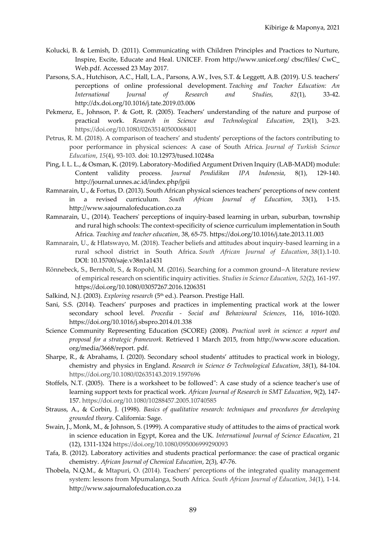- Kolucki, B. & Lemish, D. (2011). Communicating with Children Principles and Practices to Nurture, Inspire, Excite, Educate and Heal. UNICEF. From http://www.unicef.org/ cbsc/files/ CwC\_ Web.pdf. Accessed 23 May 2017.
- Parsons, S.A., Hutchison, A.C., Hall, L.A., Parsons, A.W., Ives, S.T. & Leggett, A.B. (2019). U.S. teachers' perceptions of online professional development. *Teaching and Teacher Education: An International Journal of Research and Studies, 82*(1), 33-42. http://dx.doi.org/10.1016/j.tate.2019.03.006
- Pekmenz, E., Johnson, P. & Gott, R. (2005). Teachers' understanding of the nature and purpose of practical work. *Research in Science and Technological Education*, 23(1), 3-23. https://doi.org/10.1080/02635140500068401
- Petrus, R. M. (2018). A comparison of teachers' and students' perceptions of the factors contributing to poor performance in physical sciences: A case of South Africa. *Journal of Turkish Science Education*, *15*(4), 93-103. doi: 10.12973/tused.10248a
- Ping, I. L. L., & Osman, K. (2019). Laboratory-Modified Argument Driven Inquiry (LAB-MADI) module: Content validity process. *Journal Pendidikan IPA Indonesia*, 8(1), 129-140. http://journal.unnes.ac.id/index.php/jpii
- Ramnarain, U., & Fortus, D. (2013). South African physical sciences teachers' perceptions of new content in a revised curriculum. *South African Journal of Education*, 33(1), 1-15. http://www.sajournalofeducation.co.za
- Ramnarain, U., (2014). Teachers' perceptions of inquiry-based learning in urban, suburban, township and rural high schools: The context-specificity of science curriculum implementation in South Africa. *Teaching and teacher education*, 38, 65-75. https://doi.org/10.1016/j.tate.2013.11.003
- Ramnarain, U., & Hlatswayo, M. (2018). Teacher beliefs and attitudes about inquiry-based learning in a rural school district in South Africa. *South African Journal of Education*, *38*(1).1-10. DOI: 10.15700/saje.v38n1a1431
- Rönnebeck, S., Bernholt, S., & Ropohl, M. (2016). Searching for a common ground–A literature review of empirical research on scientific inquiry activities. *Studies in Science Education*, *52*(2), 161-197. https://doi.org/10.1080/03057267.2016.1206351
- Salkind, N.J. (2003). *Exploring research* (5<sup>th</sup> ed.). Pearson. Prestige Hall.
- Sani, S.S. (2014). Teachers' purposes and practices in implementing practical work at the lower secondary school level. *Procedia - Social and Behavioural Sciences*, 116, 1016-1020. https://doi.org/10.1016/j.sbspro.2014.01.338
- Science Community Representing Education (SCORE) (2008). *Practical work in science: a report and proposal for a strategic framework.* Retrieved 1 March 2015, from http://www.score education. org/media/3668/report. pdf.
- Sharpe, R., & Abrahams, I. (2020). Secondary school students' attitudes to practical work in biology, chemistry and physics in England. *Research in Science & Technological Education*, *38*(1), 84-104. https://doi.org/10.1080/02635143.2019.1597696
- Stoffels, N.T. (2005). There is a worksheet to be followed": A case study of a science teacher's use of learning support texts for practical work. *African Journal of Research in SMT Education*, 9(2), 147- 157. https://doi.org/10.1080/10288457.2005.10740585
- Strauss, A., & Corbin, J. (1998). *Basics of qualitative research: techniques and procedures for developing grounded theory*. California: Sage.
- Swain, J., Monk, M., & Johnson, S. (1999). A comparative study of attitudes to the aims of practical work in science education in Egypt, Korea and the UK. *International Journal of Science Education*, 21 (12), 1311-1324 https://doi.org/10.1080/095006999290093
- Tafa, B. (2012). Laboratory activities and students practical performance: the case of practical organic chemistry. *African Journal of Chemical Education*, 2(3), 47-76.
- Thobela, N.Q.M., & Mtapuri, O. (2014). Teachers' perceptions of the integrated quality management system: lessons from Mpumalanga, South Africa. *South African Journal of Education*, *34*(1), 1-14. http://www.sajournalofeducation.co.za